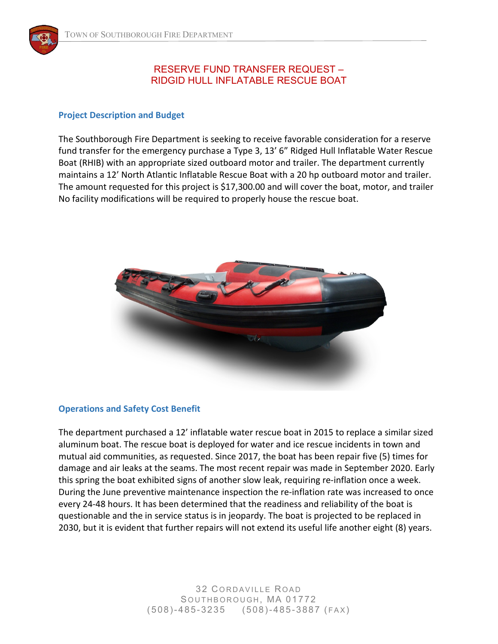## RESERVE FUND TRANSFER REQUEST – RIDGID HULL INFLATABLE RESCUE BOAT

## **Project Description and Budget**

The Southborough Fire Department is seeking to receive favorable consideration for a reserve fund transfer for the emergency purchase a Type 3, 13' 6" Ridged Hull Inflatable Water Rescue Boat (RHIB) with an appropriate sized outboard motor and trailer. The department currently maintains a 12' North Atlantic Inflatable Rescue Boat with a 20 hp outboard motor and trailer. The amount requested for this project is \$17,300.00 and will cover the boat, motor, and trailer No facility modifications will be required to properly house the rescue boat.



## **Operations and Safety Cost Benefit**

The department purchased a 12' inflatable water rescue boat in 2015 to replace a similar sized aluminum boat. The rescue boat is deployed for water and ice rescue incidents in town and mutual aid communities, as requested. Since 2017, the boat has been repair five (5) times for damage and air leaks at the seams. The most recent repair was made in September 2020. Early this spring the boat exhibited signs of another slow leak, requiring re-inflation once a week. During the June preventive maintenance inspection the re-inflation rate was increased to once every 24-48 hours. It has been determined that the readiness and reliability of the boat is questionable and the in service status is in jeopardy. The boat is projected to be replaced in 2030, but it is evident that further repairs will not extend its useful life another eight (8) years.

> **32 CORDAVILLE ROAD** SOUTHBOROUGH, MA 01772 (508)-485- 3235 (508)-485-3887 ( FAX)